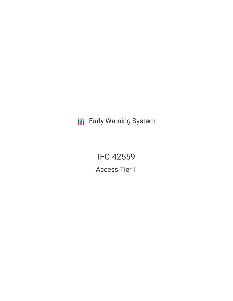**III** Early Warning System

IFC-42559 Access Tier II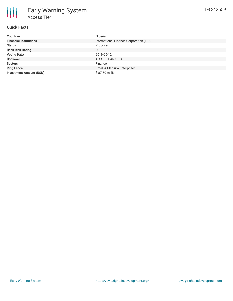| <b>Countries</b>               | Nigeria                                 |
|--------------------------------|-----------------------------------------|
| <b>Financial Institutions</b>  | International Finance Corporation (IFC) |
| <b>Status</b>                  | Proposed                                |
| <b>Bank Risk Rating</b>        | U                                       |
| <b>Voting Date</b>             | 2019-06-12                              |
| <b>Borrower</b>                | ACCESS BANK PLC                         |
| <b>Sectors</b>                 | Finance                                 |
| <b>Ring Fence</b>              | <b>Small &amp; Medium Enterprises</b>   |
| <b>Investment Amount (USD)</b> | \$87.50 million                         |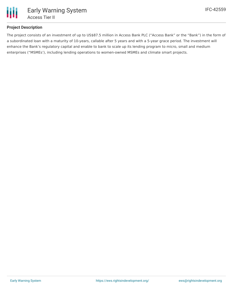

### **Project Description**

The project consists of an investment of up to US\$87.5 million in Access Bank PLC ("Access Bank" or the "Bank") in the form of a subordinated loan with a maturity of 10-years, callable after 5 years and with a 5-year grace period. The investment will enhance the Bank's regulatory capital and enable to bank to scale up its lending program to micro, small and medium enterprises ("MSMEs'), including lending operations to women-owned MSMEs and climate smart projects.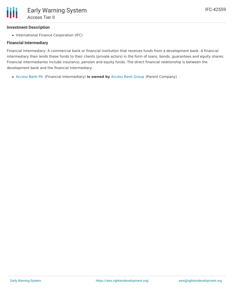## **Investment Description**

• International Finance Corporation (IFC)

## **Financial Intermediary**

Financial Intermediary: A commercial bank or financial institution that receives funds from a development bank. A financial intermediary then lends these funds to their clients (private actors) in the form of loans, bonds, guarantees and equity shares. Financial intermediaries include insurance, pension and equity funds. The direct financial relationship is between the development bank and the financial intermediary.

[Access](file:///actor/2020/) Bank Plc (Financial Intermediary) **is owned by** [Access](file:///actor/3521/) Bank Group (Parent Company)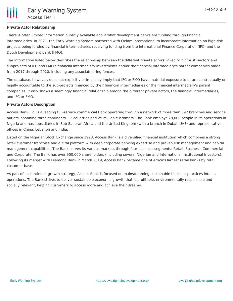There is often limited information publicly available about what development banks are funding through financial intermediaries. In 2021, the Early Warning System partnered with Oxfam International to incorporate information on high-risk projects being funded by financial intermediaries receiving funding from the International Finance Corporation (IFC) and the Dutch Development Bank (FMO).

The information listed below describes the relationship between the different private actors linked to high-risk sectors and subprojects of IFC and FMO's financial intermediary investments and/or the financial intermediary's parent companies made from 2017 through 2020, including any associated ring fences.

The database, however, does not explicitly or implicitly imply that IFC or FMO have material exposure to or are contractually or legally accountable to the sub-projects financed by their financial intermediaries or the financial intermediary's parent companies. It only shows a seemingly financial relationship among the different private actors, the financial intermediaries, and IFC or FMO.

### **Private Actors Description**

Access Bank Plc. is a leading full-service commercial Bank operating through a network of more than 592 branches and service outlets, spanning three continents, 12 countries and 29 million customers. The Bank employs 28,000 people in its operations in Nigeria and has subsidiaries in Sub-Saharan Africa and the United Kingdom (with a branch in Dubai, UAE) and representative offices in China, Lebanon and India.

Listed on the Nigerian Stock Exchange since 1998, Access Bank is a diversified financial institution which combines a strong retail customer franchise and digital platform with deep corporate banking expertise and proven risk management and capital management capabilities. The Bank serves its various markets through four business segments: Retail, Business, Commercial and Corporate. The Bank has over 900,000 shareholders (including several Nigerian and International Institutional Investors). Following its merger with Diamond Bank in March 2019, Access Bank became one of Africa's largest retail banks by retail customer base.

As part of its continued growth strategy, Access Bank is focused on mainstreaming sustainable business practices into its operations. The Bank strives to deliver sustainable economic growth that is profitable, environmentally responsible and socially relevant, helping customers to access more and achieve their dreams.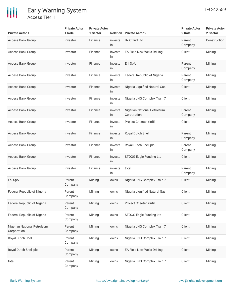

# Early Warning System Access Tier II

| <b>Private Actor 1</b>                     | <b>Private Actor</b><br>1 Role | <b>Private Actor</b><br>1 Sector |               | <b>Relation</b> Private Actor 2            | <b>Private Actor</b><br>2 Role | <b>Private Actor</b><br>2 Sector |
|--------------------------------------------|--------------------------------|----------------------------------|---------------|--------------------------------------------|--------------------------------|----------------------------------|
| <b>Access Bank Group</b>                   | Investor                       | Finance                          | invests<br>in | Bk Of Ind Ltd                              | Parent<br>Company              | Construction                     |
| Access Bank Group                          | Investor                       | Finance                          | invests<br>in | EA Field New Wells Drilling                | Client                         | Mining                           |
| <b>Access Bank Group</b>                   | Investor                       | Finance                          | invests<br>in | Eni SpA                                    | Parent<br>Company              | Mining                           |
| <b>Access Bank Group</b>                   | Investor                       | Finance                          | invests<br>in | Federal Republic of Nigeria                | Parent<br>Company              | Mining                           |
| <b>Access Bank Group</b>                   | Investor                       | Finance                          | invests<br>in | Nigeria Liquified Natural Gas              | Client                         | Mining                           |
| <b>Access Bank Group</b>                   | Investor                       | Finance                          | invests<br>in | Nigeria LNG Complex Train 7                | Client                         | Mining                           |
| <b>Access Bank Group</b>                   | Investor                       | Finance                          | invests<br>in | Nigerian National Petroleum<br>Corporation | Parent<br>Company              | Mining                           |
| Access Bank Group                          | Investor                       | Finance                          | invests<br>in | Project Cheetah (Infill                    | Client                         | Mining                           |
| <b>Access Bank Group</b>                   | Investor                       | Finance                          | invests<br>in | Royal Dutch Shell                          | Parent<br>Company              | Mining                           |
| Access Bank Group                          | Investor                       | Finance                          | invests<br>in | Royal Dutch Shell plc                      | Parent<br>Company              | Mining                           |
| Access Bank Group                          | Investor                       | Finance                          | invests<br>in | STOGG Eagle Funding Ltd                    | Client                         | Mining                           |
| Access Bank Group                          | Investor                       | Finance                          | invests<br>in | total                                      | Parent<br>Company              | Mining                           |
| Eni SpA                                    | Parent<br>Company              | Mining                           | owns          | Nigeria LNG Complex Train 7                | Client                         | Mining                           |
| Federal Republic of Nigeria                | Parent<br>Company              | Mining                           | owns          | Nigeria Liquified Natural Gas              | Client                         | Mining                           |
| Federal Republic of Nigeria                | Parent<br>Company              | Mining                           | owns          | Project Cheetah (Infill                    | Client                         | Mining                           |
| Federal Republic of Nigeria                | Parent<br>Company              | Mining                           | owns          | STOGG Eagle Funding Ltd                    | Client                         | Mining                           |
| Nigerian National Petroleum<br>Corporation | Parent<br>Company              | Mining                           | owns          | Nigeria LNG Complex Train 7                | Client                         | Mining                           |
| Royal Dutch Shell                          | Parent<br>Company              | Mining                           | owns          | Nigeria LNG Complex Train 7                | Client                         | Mining                           |
| Royal Dutch Shell plc                      | Parent<br>Company              | Mining                           | owns          | EA Field New Wells Drilling                | Client                         | Mining                           |
| total                                      | Parent<br>Company              | Mining                           | owns          | Nigeria LNG Complex Train 7                | Client                         | Mining                           |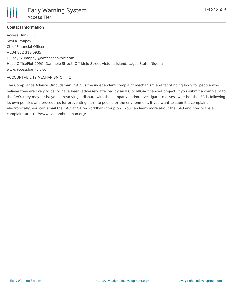

# **Contact Information**

Access Bank PLC Seyi Kumapayi Chief Financial Officer +234 802 313 0935 Oluseyi.kumapayi@accessbankplc.com Head OfficePlot 999C, Danmole Street, Off Idejo Street,Victoria Island, Lagos State, Nigeria www.accessbankplc.com

### ACCOUNTABILITY MECHANISM OF IFC

The Compliance Advisor Ombudsman (CAO) is the independent complaint mechanism and fact-finding body for people who believe they are likely to be, or have been, adversely affected by an IFC or MIGA- financed project. If you submit a complaint to the CAO, they may assist you in resolving a dispute with the company and/or investigate to assess whether the IFC is following its own policies and procedures for preventing harm to people or the environment. If you want to submit a complaint electronically, you can email the CAO at CAO@worldbankgroup.org. You can learn more about the CAO and how to file a complaint at http://www.cao-ombudsman.org/